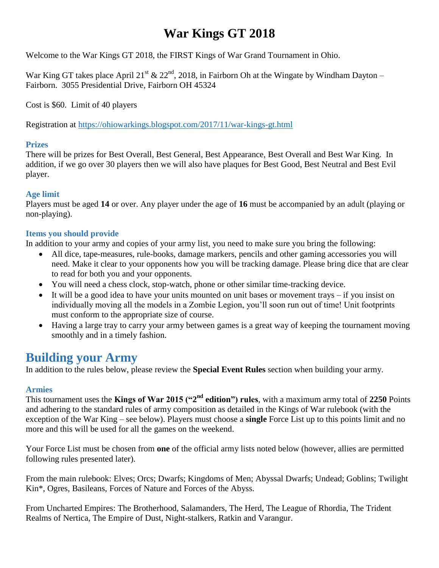Welcome to the War Kings GT 2018, the FIRST Kings of War Grand Tournament in Ohio.

War King GT takes place April 21<sup>st</sup> & 22<sup>nd</sup>, 2018, in Fairborn Oh at the Wingate by Windham Dayton – Fairborn. 3055 Presidential Drive, Fairborn OH 45324

Cost is \$60. Limit of 40 players

Registration at<https://ohiowarkings.blogspot.com/2017/11/war-kings-gt.html>

### **Prizes**

There will be prizes for Best Overall, Best General, Best Appearance, Best Overall and Best War King. In addition, if we go over 30 players then we will also have plaques for Best Good, Best Neutral and Best Evil player.

### **Age limit**

Players must be aged **14** or over. Any player under the age of **16** must be accompanied by an adult (playing or non-playing).

### **Items you should provide**

In addition to your army and copies of your army list, you need to make sure you bring the following:

- All dice, tape-measures, rule-books, damage markers, pencils and other gaming accessories you will need. Make it clear to your opponents how you will be tracking damage. Please bring dice that are clear to read for both you and your opponents.
- You will need a chess clock, stop-watch, phone or other similar time-tracking device.
- It will be a good idea to have your units mounted on unit bases or movement trays if you insist on individually moving all the models in a Zombie Legion, you'll soon run out of time! Unit footprints must conform to the appropriate size of course.
- Having a large tray to carry your army between games is a great way of keeping the tournament moving smoothly and in a timely fashion.

### **Building your Army**

In addition to the rules below, please review the **Special Event Rules** section when building your army.

### **Armies**

This tournament uses the **Kings of War 2015 ("2<sup>nd</sup> edition") rules**, with a maximum army total of 2250 Points and adhering to the standard rules of army composition as detailed in the Kings of War rulebook (with the exception of the War King – see below). Players must choose a **single** Force List up to this points limit and no more and this will be used for all the games on the weekend.

Your Force List must be chosen from **one** of the official army lists noted below (however, allies are permitted following rules presented later).

From the main rulebook: Elves; Orcs; Dwarfs; Kingdoms of Men; Abyssal Dwarfs; Undead; Goblins; Twilight Kin\*, Ogres, Basileans, Forces of Nature and Forces of the Abyss.

From Uncharted Empires: The Brotherhood, Salamanders, The Herd, The League of Rhordia, The Trident Realms of Nertica, The Empire of Dust, Night-stalkers, Ratkin and Varangur.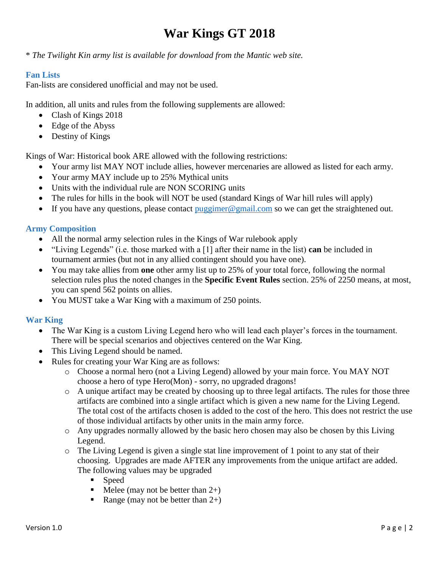\* *The Twilight Kin army list is available for download from the Mantic web site.* 

### **Fan Lists**

Fan-lists are considered unofficial and may not be used.

In addition, all units and rules from the following supplements are allowed:

- Clash of Kings 2018
- Edge of the Abyss
- Destiny of Kings

Kings of War: Historical book ARE allowed with the following restrictions:

- Your army list MAY NOT include allies, however mercenaries are allowed as listed for each army.
- Your army MAY include up to 25% Mythical units
- Units with the individual rule are NON SCORING units
- The rules for hills in the book will NOT be used (standard Kings of War hill rules will apply)
- If you have any questions, please contact  $\frac{p \cdot p}{p \cdot q}$  mail.com so we can get the straightened out.

### **Army Composition**

- All the normal army selection rules in the Kings of War rulebook apply
- "Living Legends" (i.e. those marked with a [1] after their name in the list) **can** be included in tournament armies (but not in any allied contingent should you have one).
- You may take allies from **one** other army list up to 25% of your total force, following the normal selection rules plus the noted changes in the **Specific Event Rules** section. 25% of 2250 means, at most, you can spend 562 points on allies.
- You MUST take a War King with a maximum of 250 points.

### **War King**

- The War King is a custom Living Legend hero who will lead each player's forces in the tournament. There will be special scenarios and objectives centered on the War King.
- This Living Legend should be named.
- Rules for creating your War King are as follows:
	- o Choose a normal hero (not a Living Legend) allowed by your main force. You MAY NOT choose a hero of type Hero(Mon) - sorry, no upgraded dragons!
	- $\circ$  A unique artifact may be created by choosing up to three legal artifacts. The rules for those three artifacts are combined into a single artifact which is given a new name for the Living Legend. The total cost of the artifacts chosen is added to the cost of the hero. This does not restrict the use of those individual artifacts by other units in the main army force.
	- o Any upgrades normally allowed by the basic hero chosen may also be chosen by this Living Legend.
	- $\circ$  The Living Legend is given a single stat line improvement of 1 point to any stat of their choosing. Upgrades are made AFTER any improvements from the unique artifact are added. The following values may be upgraded
		- **Speed**
		- $\blacksquare$  Melee (may not be better than 2+)
		- Range (may not be better than  $2+$ )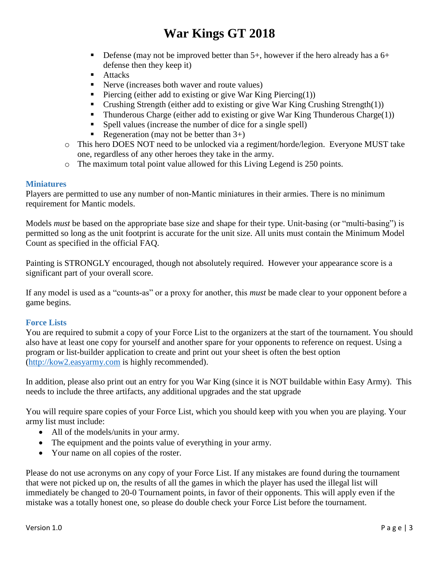- Defense (may not be improved better than  $5+$ , however if the hero already has a  $6+$ defense then they keep it)
- **Attacks**
- Nerve (increases both waver and route values)
- Piercing (either add to existing or give War King Piercing $(1)$ )
- Crushing Strength (either add to existing or give War King Crushing Strength(1))
- Thunderous Charge (either add to existing or give War King Thunderous Charge $(1)$ )
- Spell values (increase the number of dice for a single spell)
- Regeneration (may not be better than  $3+$ )
- o This hero DOES NOT need to be unlocked via a regiment/horde/legion. Everyone MUST take one, regardless of any other heroes they take in the army.
- o The maximum total point value allowed for this Living Legend is 250 points.

#### **Miniatures**

Players are permitted to use any number of non-Mantic miniatures in their armies. There is no minimum requirement for Mantic models.

Models *must* be based on the appropriate base size and shape for their type. Unit-basing (or "multi-basing") is permitted so long as the unit footprint is accurate for the unit size. All units must contain the Minimum Model Count as specified in the official FAQ.

Painting is STRONGLY encouraged, though not absolutely required. However your appearance score is a significant part of your overall score.

If any model is used as a "counts-as" or a proxy for another, this *must* be made clear to your opponent before a game begins.

#### **Force Lists**

You are required to submit a copy of your Force List to the organizers at the start of the tournament. You should also have at least one copy for yourself and another spare for your opponents to reference on request. Using a program or list-builder application to create and print out your sheet is often the best option [\(http://kow2.easyarmy.com](http://kow2.easyarmy.com/) is highly recommended).

In addition, please also print out an entry for you War King (since it is NOT buildable within Easy Army). This needs to include the three artifacts, any additional upgrades and the stat upgrade

You will require spare copies of your Force List, which you should keep with you when you are playing. Your army list must include:

- All of the models/units in your army.
- The equipment and the points value of everything in your army.
- Your name on all copies of the roster.

Please do not use acronyms on any copy of your Force List. If any mistakes are found during the tournament that were not picked up on, the results of all the games in which the player has used the illegal list will immediately be changed to 20-0 Tournament points, in favor of their opponents. This will apply even if the mistake was a totally honest one, so please do double check your Force List before the tournament.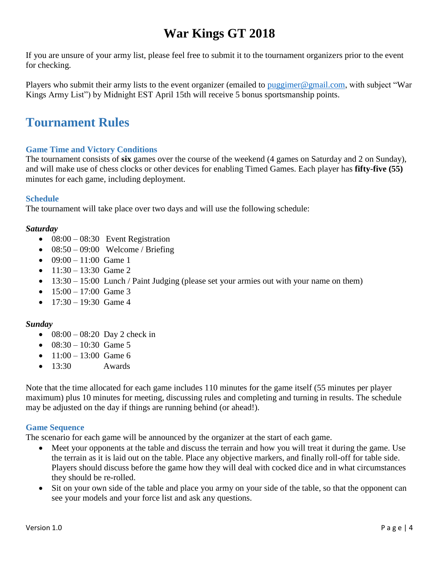If you are unsure of your army list, please feel free to submit it to the tournament organizers prior to the event for checking.

Players who submit their army lists to the event organizer (emailed to [puggimer@gmail.com,](mailto:puggimer@gmail.com) with subject "War Kings Army List") by Midnight EST April 15th will receive 5 bonus sportsmanship points.

## **Tournament Rules**

### **Game Time and Victory Conditions**

The tournament consists of **six** games over the course of the weekend (4 games on Saturday and 2 on Sunday), and will make use of chess clocks or other devices for enabling Timed Games. Each player has **fifty-five (55)**  minutes for each game, including deployment.

### **Schedule**

The tournament will take place over two days and will use the following schedule:

### *Saturday*

- $\bullet$  08:00 08:30 Event Registration
- $\bullet$  08:50 09:00 Welcome / Briefing
- $\bullet$  09:00 11:00 Game 1
- $11:30 13:30$  Game 2
- $\bullet$  13:30 15:00 Lunch / Paint Judging (please set your armies out with your name on them)
- $15:00 17:00$  Game 3
- $\bullet$  17:30 19:30 Game 4

### *Sunday*

- $08:00 08:20$  Day 2 check in
- $\bullet$  08:30 10:30 Game 5
- $11:00 13:00$  Game 6
- $\bullet$  13:30 Awards

Note that the time allocated for each game includes 110 minutes for the game itself (55 minutes per player maximum) plus 10 minutes for meeting, discussing rules and completing and turning in results. The schedule may be adjusted on the day if things are running behind (or ahead!).

### **Game Sequence**

The scenario for each game will be announced by the organizer at the start of each game.

- Meet your opponents at the table and discuss the terrain and how you will treat it during the game. Use the terrain as it is laid out on the table. Place any objective markers, and finally roll-off for table side. Players should discuss before the game how they will deal with cocked dice and in what circumstances they should be re-rolled.
- Sit on your own side of the table and place you army on your side of the table, so that the opponent can see your models and your force list and ask any questions.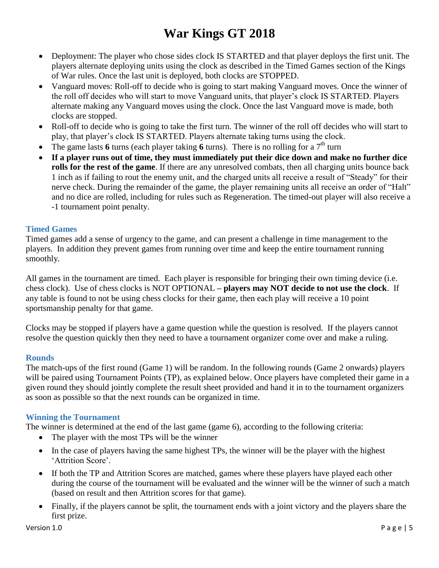- Deployment: The player who chose sides clock IS STARTED and that player deploys the first unit. The players alternate deploying units using the clock as described in the Timed Games section of the Kings of War rules. Once the last unit is deployed, both clocks are STOPPED.
- Vanguard moves: Roll-off to decide who is going to start making Vanguard moves. Once the winner of the roll off decides who will start to move Vanguard units, that player's clock IS STARTED. Players alternate making any Vanguard moves using the clock. Once the last Vanguard move is made, both clocks are stopped.
- Roll-off to decide who is going to take the first turn. The winner of the roll off decides who will start to play, that player's clock IS STARTED. Players alternate taking turns using the clock.
- The game lasts 6 turns (each player taking 6 turns). There is no rolling for a  $7<sup>th</sup>$  turn
- **If a player runs out of time, they must immediately put their dice down and make no further dice rolls for the rest of the game**. If there are any unresolved combats, then all charging units bounce back 1 inch as if failing to rout the enemy unit, and the charged units all receive a result of "Steady" for their nerve check. During the remainder of the game, the player remaining units all receive an order of "Halt" and no dice are rolled, including for rules such as Regeneration. The timed-out player will also receive a -1 tournament point penalty.

#### **Timed Games**

Timed games add a sense of urgency to the game, and can present a challenge in time management to the players. In addition they prevent games from running over time and keep the entire tournament running smoothly.

All games in the tournament are timed. Each player is responsible for bringing their own timing device (i.e. chess clock). Use of chess clocks is NOT OPTIONAL **– players may NOT decide to not use the clock**. If any table is found to not be using chess clocks for their game, then each play will receive a 10 point sportsmanship penalty for that game.

Clocks may be stopped if players have a game question while the question is resolved. If the players cannot resolve the question quickly then they need to have a tournament organizer come over and make a ruling.

### **Rounds**

The match-ups of the first round (Game 1) will be random. In the following rounds (Game 2 onwards) players will be paired using Tournament Points (TP), as explained below. Once players have completed their game in a given round they should jointly complete the result sheet provided and hand it in to the tournament organizers as soon as possible so that the next rounds can be organized in time.

#### **Winning the Tournament**

The winner is determined at the end of the last game (game 6), according to the following criteria:

- The player with the most TPs will be the winner
- In the case of players having the same highest TPs, the winner will be the player with the highest 'Attrition Score'.
- If both the TP and Attrition Scores are matched, games where these players have played each other during the course of the tournament will be evaluated and the winner will be the winner of such a match (based on result and then Attrition scores for that game).
- Finally, if the players cannot be split, the tournament ends with a joint victory and the players share the first prize.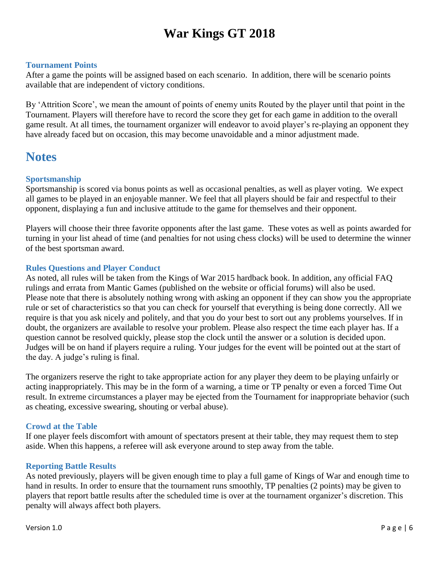#### **Tournament Points**

After a game the points will be assigned based on each scenario. In addition, there will be scenario points available that are independent of victory conditions.

By 'Attrition Score', we mean the amount of points of enemy units Routed by the player until that point in the Tournament. Players will therefore have to record the score they get for each game in addition to the overall game result. At all times, the tournament organizer will endeavor to avoid player's re-playing an opponent they have already faced but on occasion, this may become unavoidable and a minor adjustment made.

### **Notes**

#### **Sportsmanship**

Sportsmanship is scored via bonus points as well as occasional penalties, as well as player voting. We expect all games to be played in an enjoyable manner. We feel that all players should be fair and respectful to their opponent, displaying a fun and inclusive attitude to the game for themselves and their opponent.

Players will choose their three favorite opponents after the last game. These votes as well as points awarded for turning in your list ahead of time (and penalties for not using chess clocks) will be used to determine the winner of the best sportsman award.

#### **Rules Questions and Player Conduct**

As noted, all rules will be taken from the Kings of War 2015 hardback book. In addition, any official FAQ rulings and errata from Mantic Games (published on the website or official forums) will also be used. Please note that there is absolutely nothing wrong with asking an opponent if they can show you the appropriate rule or set of characteristics so that you can check for yourself that everything is being done correctly. All we require is that you ask nicely and politely, and that you do your best to sort out any problems yourselves. If in doubt, the organizers are available to resolve your problem. Please also respect the time each player has. If a question cannot be resolved quickly, please stop the clock until the answer or a solution is decided upon. Judges will be on hand if players require a ruling. Your judges for the event will be pointed out at the start of the day. A judge's ruling is final.

The organizers reserve the right to take appropriate action for any player they deem to be playing unfairly or acting inappropriately. This may be in the form of a warning, a time or TP penalty or even a forced Time Out result. In extreme circumstances a player may be ejected from the Tournament for inappropriate behavior (such as cheating, excessive swearing, shouting or verbal abuse).

#### **Crowd at the Table**

If one player feels discomfort with amount of spectators present at their table, they may request them to step aside. When this happens, a referee will ask everyone around to step away from the table.

#### **Reporting Battle Results**

As noted previously, players will be given enough time to play a full game of Kings of War and enough time to hand in results. In order to ensure that the tournament runs smoothly, TP penalties (2 points) may be given to players that report battle results after the scheduled time is over at the tournament organizer's discretion. This penalty will always affect both players.